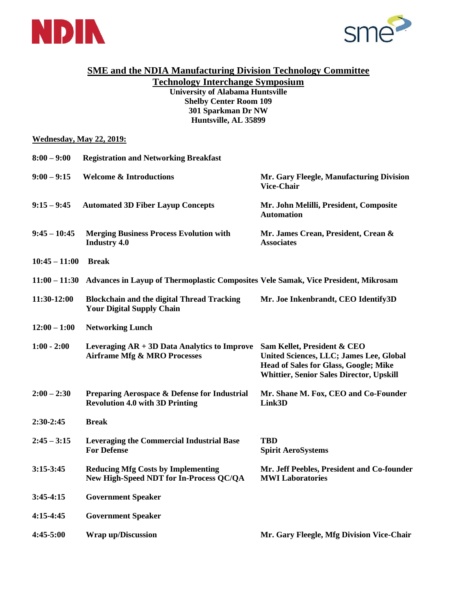



## **SME and the NDIA Manufacturing Division Technology Committee**

**Technology Interchange Symposium University of Alabama Huntsville Shelby Center Room 109 301 Sparkman Dr NW Huntsville, AL 35899**

## **Wednesday, May 22, 2019:**

| $8:00 - 9:00$   | <b>Registration and Networking Breakfast</b>                                              |                                                                                                                                                                           |
|-----------------|-------------------------------------------------------------------------------------------|---------------------------------------------------------------------------------------------------------------------------------------------------------------------------|
| $9:00 - 9:15$   | <b>Welcome &amp; Introductions</b>                                                        | Mr. Gary Fleegle, Manufacturing Division<br><b>Vice-Chair</b>                                                                                                             |
| $9:15 - 9:45$   | <b>Automated 3D Fiber Layup Concepts</b>                                                  | Mr. John Melilli, President, Composite<br><b>Automation</b>                                                                                                               |
| $9:45 - 10:45$  | <b>Merging Business Process Evolution with</b><br><b>Industry 4.0</b>                     | Mr. James Crean, President, Crean &<br><b>Associates</b>                                                                                                                  |
| $10:45 - 11:00$ | <b>Break</b>                                                                              |                                                                                                                                                                           |
| $11:00 - 11:30$ | Advances in Layup of Thermoplastic Composites Vele Samak, Vice President, Mikrosam        |                                                                                                                                                                           |
| 11:30-12:00     | <b>Blockchain and the digital Thread Tracking</b><br><b>Your Digital Supply Chain</b>     | Mr. Joe Inkenbrandt, CEO Identify3D                                                                                                                                       |
| $12:00 - 1:00$  | <b>Networking Lunch</b>                                                                   |                                                                                                                                                                           |
| $1:00 - 2:00$   | Leveraging $AR + 3D$ Data Analytics to Improve<br><b>Airframe Mfg &amp; MRO Processes</b> | Sam Kellet, President & CEO<br>United Sciences, LLC; James Lee, Global<br><b>Head of Sales for Glass, Google; Mike</b><br><b>Whittier, Senior Sales Director, Upskill</b> |
| $2:00 - 2:30$   | Preparing Aerospace & Defense for Industrial<br><b>Revolution 4.0 with 3D Printing</b>    | Mr. Shane M. Fox, CEO and Co-Founder<br>Link3D                                                                                                                            |
| 2:30-2:45       | <b>Break</b>                                                                              |                                                                                                                                                                           |
| $2:45 - 3:15$   | <b>Leveraging the Commercial Industrial Base</b><br><b>For Defense</b>                    | <b>TBD</b><br><b>Spirit AeroSystems</b>                                                                                                                                   |
| $3:15-3:45$     | <b>Reducing Mfg Costs by Implementing</b><br>New High-Speed NDT for In-Process QC/QA      | Mr. Jeff Peebles, President and Co-founder<br><b>MWI Laboratories</b>                                                                                                     |
| $3:45-4:15$     | <b>Government Speaker</b>                                                                 |                                                                                                                                                                           |
| $4:15-4:45$     | <b>Government Speaker</b>                                                                 |                                                                                                                                                                           |
| 4:45-5:00       | <b>Wrap up/Discussion</b>                                                                 | Mr. Gary Fleegle, Mfg Division Vice-Chair                                                                                                                                 |